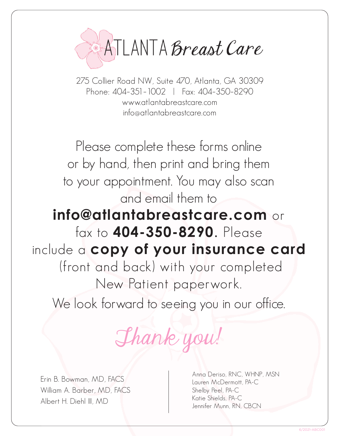

275 Collier Road NW, Suite 470, Atlanta, GA 30309 Phone: 404–351–1002 | Fax: 404–350–8290 www.atlantabreastcare.com info@atlantabreastcare.com

Please complete these forms online or by hand, then print and bring them to your appointment. You may also scan and email them to **info@atlantabreastcare.com** or fax to **404-350-8290**. Please include a **copy of your insurance card** (front and back) with your completed New Patient paperwork.

We look forward to seeing you in our office.

Thank you!

Erin B. Bowman, MD, FACS William A. Barber, MD, FACS Albert H. Diehl III, MD

Anna Deriso, RNC, WHNP, MSN Lauren McDermott, PA-C Shelby Peel, PA-C Katie Shields, PA-C Jennifer Munn, RN, CBCN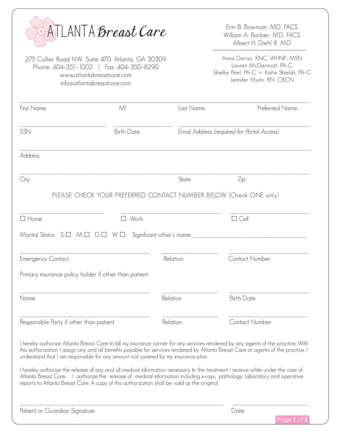| ATLANTA Breast Care                     |                                                                                                                                                         |           | Erin B. Bowman, MD, FACS<br>William A. Barber, MD, FACS<br>Albert H. Diehl III, MD                                                                                                                                                                                                                                                                                                                                                                                                                                                     |  |
|-----------------------------------------|---------------------------------------------------------------------------------------------------------------------------------------------------------|-----------|----------------------------------------------------------------------------------------------------------------------------------------------------------------------------------------------------------------------------------------------------------------------------------------------------------------------------------------------------------------------------------------------------------------------------------------------------------------------------------------------------------------------------------------|--|
|                                         | 275 Collier Road NW, Suite 470, Atlanta, GA 30309<br>Phone: 404-351-1002   Fax: 404-350-8290<br>www.atlantabreastcare.com<br>info@atlantabreastcare.com |           | Anna Deriso, RNC, WHNP, MSN<br>Lauren McDermott, PA-C<br>Shelby Peel, PA-C · Katie Shields, PA-C<br>Jennifer Munn, RN, CBCN                                                                                                                                                                                                                                                                                                                                                                                                            |  |
| First Name                              | M <sub>l</sub>                                                                                                                                          | Last Name | Preferred Name                                                                                                                                                                                                                                                                                                                                                                                                                                                                                                                         |  |
| SSN                                     | <b>Birth Date</b>                                                                                                                                       |           | Email Address (required for Portal Access)                                                                                                                                                                                                                                                                                                                                                                                                                                                                                             |  |
| Address                                 |                                                                                                                                                         |           |                                                                                                                                                                                                                                                                                                                                                                                                                                                                                                                                        |  |
| City                                    |                                                                                                                                                         | State     | Zip                                                                                                                                                                                                                                                                                                                                                                                                                                                                                                                                    |  |
|                                         | PLEASE CHECK YOUR PREFERRED CONTACT NUMBER BELOW (Check ONE only)                                                                                       |           |                                                                                                                                                                                                                                                                                                                                                                                                                                                                                                                                        |  |
| $\Box$ Home                             | Work                                                                                                                                                    |           | $\Box$ Cell                                                                                                                                                                                                                                                                                                                                                                                                                                                                                                                            |  |
|                                         | Marital Status: $S \Box M \Box D \Box W \Box$ Significant other's name: _____                                                                           |           |                                                                                                                                                                                                                                                                                                                                                                                                                                                                                                                                        |  |
| <b>Emergency Contact</b>                |                                                                                                                                                         | Relation  | <b>Contact Number</b>                                                                                                                                                                                                                                                                                                                                                                                                                                                                                                                  |  |
|                                         | Primary insurance policy holder if other than patient:                                                                                                  |           |                                                                                                                                                                                                                                                                                                                                                                                                                                                                                                                                        |  |
| Name                                    |                                                                                                                                                         | Relation  | <b>Birth Date</b>                                                                                                                                                                                                                                                                                                                                                                                                                                                                                                                      |  |
| Responsible Party if other than patient |                                                                                                                                                         | Relation  | Contact Number                                                                                                                                                                                                                                                                                                                                                                                                                                                                                                                         |  |
|                                         | understand that I am responsible for any amount not covered by my insurance plan.                                                                       |           | I hereby authorize Atlanta Breast Care to bill my insurance carrier for any services rendered by any agents of the practice. With<br>this authorization I assign any and all benefits payable for services rendered by Atlanta Breast Care or agents of the practice. I<br>I hereby authorize the release of any and all medical information necessary to the treatment I receive while under the care of<br>Atlanta Breast Care. I authorize the release of medical information including x-rays, pathology, laboratory and operative |  |
|                                         | reports to Atlanta Breast Care. A copy of this authorization shall be valid as the original.                                                            |           |                                                                                                                                                                                                                                                                                                                                                                                                                                                                                                                                        |  |
| Patient or Guardian Signature           |                                                                                                                                                         |           | Date<br>Page 1 of !                                                                                                                                                                                                                                                                                                                                                                                                                                                                                                                    |  |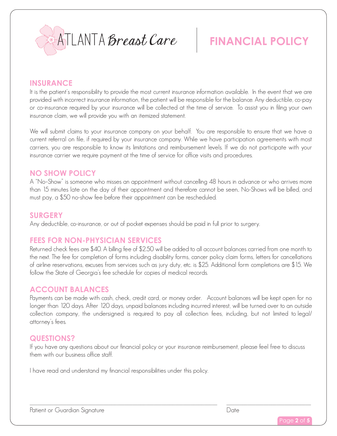

## **FINANCIAL POLICY**

#### **INSURANCE**

It is the patient's responsibility to provide the most current insurance information available. In the event that we are provided with incorrect insurance information, the patient will be responsible for the balance. Any deductible, co-pay or co-insurance required by your insurance will be collected at the time of service. To assist you in filing your own insurance claim, we will provide you with an itemized statement.

We will submit claims to your insurance company on your behalf. You are responsible to ensure that we have a current referral on file, if required by your insurance company. While we have participation agreements with most carriers, you are responsible to know its limitations and reimbursement levels. If we do not participate with your insurance carrier we require payment at the time of service for office visits and procedures.

#### **NO SHOW POLICY**

A "No–Show" is someone who misses an appointment without cancelling 48 hours in advance or who arrives more than 15 minutes late on the day of their appointment and therefore cannot be seen.. No-Shows will be billed, and must pay, a \$50 no-show fee before their appointment can be rescheduled.

#### **SURGERY**

Any deductible, co-insurance, or out of pocket expenses should be paid in full prior to surgery.

#### **FEES FOR NON-PHYSICIAN SERVICES**

Returned check fees are \$40. A billing fee of \$2.50 will be added to all account balances carried from one month to the next. The fee for completion of forms including disability forms, cancer policy claim forms, letters for cancellations of airline reservations, excuses from services such as jury duty, etc. is \$25. Additional form completions are \$15. We follow the State of Georgia's fee schedule for copies of medical records.

#### **ACCOUNT BALANCES**

Payments can be made with cash, check, credit card, or money order. Account balances will be kept open for no longer than 120 days. After 120 days, unpaid balances including incurred interest, will be turned over to an outside collection company, the undersigned is required to pay all collection fees, including, but not limited to legal/ attorney's fees.

#### **QUESTIONS?**

If you have any questions about our financial policy or your insurance reimbursement, please feel free to discuss them with our business office staff.

I have read and understand my financial responsibilities under this policy.

Patient or Guardian Signature **Date** 

Page **2** of **5**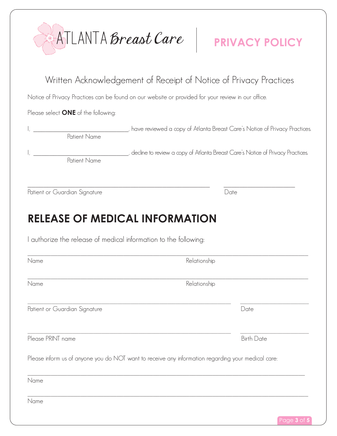|                                                                                                                                                                         |              | ATLANTA Breast Care   PRIVACY POLICY                                                                                   |
|-------------------------------------------------------------------------------------------------------------------------------------------------------------------------|--------------|------------------------------------------------------------------------------------------------------------------------|
| Written Acknowledgement of Receipt of Notice of Privacy Practices<br>Notice of Privacy Practices can be found on our website or provided for your review in our office. |              |                                                                                                                        |
| Please select <b>ONE</b> of the following:                                                                                                                              |              |                                                                                                                        |
|                                                                                                                                                                         |              | __________________________, have reviewed a copy of Atlanta Breast Care's Notice of Privacy Practices.<br>Patient Name |
| <b>Patient Name</b>                                                                                                                                                     |              | _______, decline to review a copy of Atlanta Breast Care's Notice of Privacy Practices.                                |
| Patient or Guardian Signature                                                                                                                                           |              | Date                                                                                                                   |
| <b>RELEASE OF MEDICAL INFORMATION</b><br>I authorize the release of medical information to the following:                                                               |              |                                                                                                                        |
| Name                                                                                                                                                                    | Relationship |                                                                                                                        |
| Name                                                                                                                                                                    | Relationship |                                                                                                                        |
|                                                                                                                                                                         |              |                                                                                                                        |
| Patient or Guardian Signature                                                                                                                                           |              | Date                                                                                                                   |
| Please PRINT name                                                                                                                                                       |              | <b>Birth Date</b>                                                                                                      |
| Please inform us of anyone you do NOT want to receive any information regarding your medical care:                                                                      |              |                                                                                                                        |
| Name                                                                                                                                                                    |              |                                                                                                                        |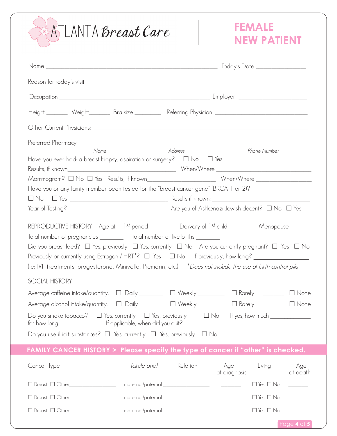# ATLANTA Breast Care

### **FEMALE NEW PATIENT**

Page **4** of **5**

| Height _________ Weight_________ Bra size ___________ Referring Physician: ___________________________________                                                                                                                                                                                                                                                                                                                                                                                                                                                                                                                                       |                                                                                                                                                                                                                                                                                                                                                                                   |                                      |                 |  |
|------------------------------------------------------------------------------------------------------------------------------------------------------------------------------------------------------------------------------------------------------------------------------------------------------------------------------------------------------------------------------------------------------------------------------------------------------------------------------------------------------------------------------------------------------------------------------------------------------------------------------------------------------|-----------------------------------------------------------------------------------------------------------------------------------------------------------------------------------------------------------------------------------------------------------------------------------------------------------------------------------------------------------------------------------|--------------------------------------|-----------------|--|
|                                                                                                                                                                                                                                                                                                                                                                                                                                                                                                                                                                                                                                                      |                                                                                                                                                                                                                                                                                                                                                                                   |                                      |                 |  |
| Name<br>Have you ever had: a breast biopsy, aspiration or surgery? $\Box$ No $\Box$ Yes                                                                                                                                                                                                                                                                                                                                                                                                                                                                                                                                                              | Address                                                                                                                                                                                                                                                                                                                                                                           | Phone Number                         |                 |  |
|                                                                                                                                                                                                                                                                                                                                                                                                                                                                                                                                                                                                                                                      |                                                                                                                                                                                                                                                                                                                                                                                   |                                      |                 |  |
| Have you or any family member been tested for the "breast cancer gene" (BRCA 1 or 2)?<br>REPRODUCTIVE HISTORY Age at: 1st period ________ Delivery of 1st child _______ Menopause ______<br>Total number of pregnancies ___________ Total number of live births _________<br>Did you breast feed? $\Box$ Yes, previously $\Box$ Yes, currently $\Box$ No Are you currently pregnant? $\Box$ Yes $\Box$ No<br>Previously or currently using Estrogen / HRT*? $\Box$ Yes $\Box$ No If previously, how long? $\_\_$<br>(ie: IVF treatments, progesterone, Minivelle, Premarin, etc.) *Does not include the use of birth control pills<br>SOCIAL HISTORY |                                                                                                                                                                                                                                                                                                                                                                                   |                                      |                 |  |
| Average caffeine intake/quantity: □ Daily ________ □ Weekly ________                                                                                                                                                                                                                                                                                                                                                                                                                                                                                                                                                                                 |                                                                                                                                                                                                                                                                                                                                                                                   | □ Rarely <u>_______</u>              | $\Box$ None     |  |
| Average alcohol intake/quantity: □ Daily _______ □ Weekly _______                                                                                                                                                                                                                                                                                                                                                                                                                                                                                                                                                                                    |                                                                                                                                                                                                                                                                                                                                                                                   | □ Rarely <u>________</u>             | $\Box$ None     |  |
| Do you smoke tobacco? $\Box$ Yes, currently $\Box$ Yes, previously $\Box$ No If yes, how much $\Box$<br>Do you use illicit substances? $\Box$ Yes, currently $\Box$ Yes, previously $\Box$ No                                                                                                                                                                                                                                                                                                                                                                                                                                                        |                                                                                                                                                                                                                                                                                                                                                                                   |                                      |                 |  |
| FAMILY CANCER HISTORY > Please specify the type of cancer if "other" is checked.                                                                                                                                                                                                                                                                                                                                                                                                                                                                                                                                                                     |                                                                                                                                                                                                                                                                                                                                                                                   |                                      |                 |  |
| Cancer Type                                                                                                                                                                                                                                                                                                                                                                                                                                                                                                                                                                                                                                          | <i>(circle one)</i> Relation                                                                                                                                                                                                                                                                                                                                                      | Age<br>Living<br>at diagnosis        | Age<br>at death |  |
| $\Box$ Breast $\Box$ Other                                                                                                                                                                                                                                                                                                                                                                                                                                                                                                                                                                                                                           |                                                                                                                                                                                                                                                                                                                                                                                   | $\Box$ Yes $\Box$ No                 |                 |  |
| □ Breast □ Other________________                                                                                                                                                                                                                                                                                                                                                                                                                                                                                                                                                                                                                     |                                                                                                                                                                                                                                                                                                                                                                                   | $\Box$ Yes $\Box$ No                 |                 |  |
|                                                                                                                                                                                                                                                                                                                                                                                                                                                                                                                                                                                                                                                      | $\begin{picture}(150,10) \put(0,0){\dashbox{0.5}(10,0){ }} \put(150,0){\circle{10}} \put(150,0){\circle{10}} \put(150,0){\circle{10}} \put(150,0){\circle{10}} \put(150,0){\circle{10}} \put(150,0){\circle{10}} \put(150,0){\circle{10}} \put(150,0){\circle{10}} \put(150,0){\circle{10}} \put(150,0){\circle{10}} \put(150,0){\circle{10}} \put(150,0){\circle{10}} \put(150,$ | $\square$ Yes $\square$ No $\square$ |                 |  |